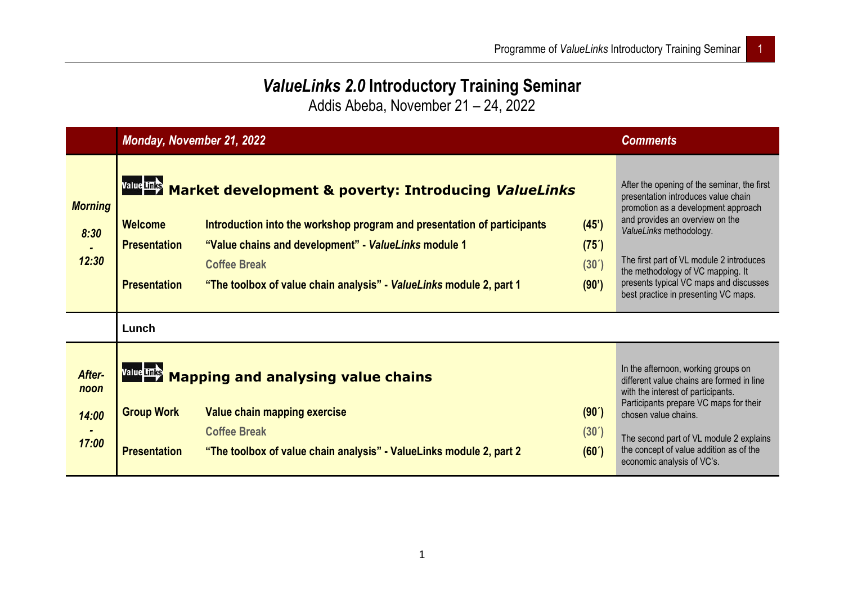## *ValueLinks 2.0* **Introductory Training Seminar**

Addis Abeba, November 21 – 24, 2022

|                                  |                                                              | <b>Monday, November 21, 2022</b>                                                                                                                                                                                                                                                                  |                                             | <b>Comments</b>                                                                                                                                                                                                                                                                                                                                            |
|----------------------------------|--------------------------------------------------------------|---------------------------------------------------------------------------------------------------------------------------------------------------------------------------------------------------------------------------------------------------------------------------------------------------|---------------------------------------------|------------------------------------------------------------------------------------------------------------------------------------------------------------------------------------------------------------------------------------------------------------------------------------------------------------------------------------------------------------|
| <b>Morning</b><br>8:30<br>12:30  | <b>Welcome</b><br><b>Presentation</b><br><b>Presentation</b> | Value Links Market development & poverty: Introducing ValueLinks<br>Introduction into the workshop program and presentation of participants<br>"Value chains and development" - ValueLinks module 1<br><b>Coffee Break</b><br>"The toolbox of value chain analysis" - ValueLinks module 2, part 1 | (45)<br>$(75^{\prime})$<br>(30')<br>(90')   | After the opening of the seminar, the first<br>presentation introduces value chain<br>promotion as a development approach<br>and provides an overview on the<br>ValueLinks methodology.<br>The first part of VL module 2 introduces<br>the methodology of VC mapping. It<br>presents typical VC maps and discusses<br>best practice in presenting VC maps. |
|                                  | Lunch                                                        |                                                                                                                                                                                                                                                                                                   |                                             |                                                                                                                                                                                                                                                                                                                                                            |
| After-<br>noon<br>14:00<br>17:00 | <b>Group Work</b><br><b>Presentation</b>                     | Value Links Mapping and analysing value chains<br>Value chain mapping exercise<br><b>Coffee Break</b><br>"The toolbox of value chain analysis" - ValueLinks module 2, part 2                                                                                                                      | $(90^{\prime})$<br>$(30^{\prime})$<br>(60') | In the afternoon, working groups on<br>different value chains are formed in line<br>with the interest of participants.<br>Participants prepare VC maps for their<br>chosen value chains.<br>The second part of VL module 2 explains<br>the concept of value addition as of the<br>economic analysis of VC's.                                               |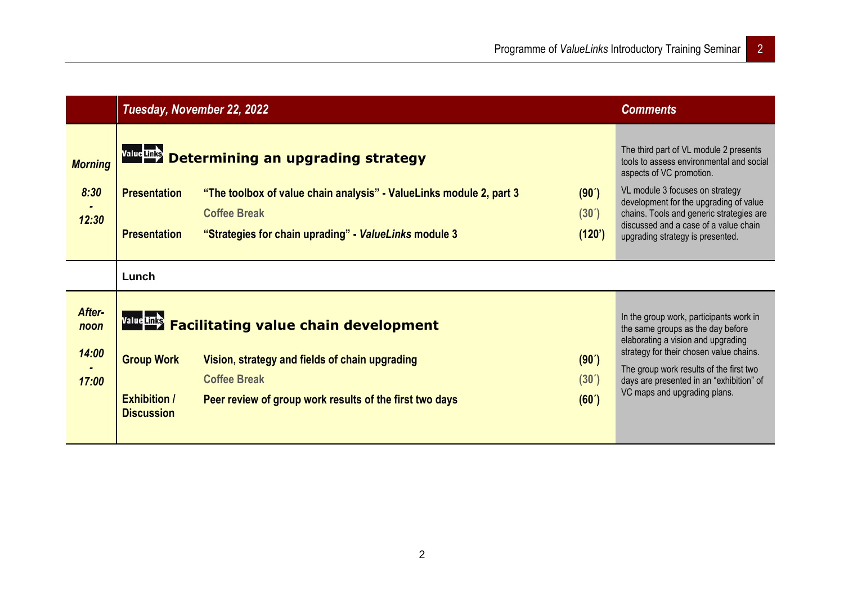|                                  | Tuesday, November 22, 2022                                    |                                                                                                                                                                                                      |                                   | <b>Comments</b>                                                                                                                                                                                                                                                                                                      |
|----------------------------------|---------------------------------------------------------------|------------------------------------------------------------------------------------------------------------------------------------------------------------------------------------------------------|-----------------------------------|----------------------------------------------------------------------------------------------------------------------------------------------------------------------------------------------------------------------------------------------------------------------------------------------------------------------|
| <b>Morning</b><br>8:30<br>12:30  | <b>Presentation</b><br><b>Presentation</b>                    | Value Links Determining an upgrading strategy<br>"The toolbox of value chain analysis" - ValueLinks module 2, part 3<br><b>Coffee Break</b><br>"Strategies for chain uprading" - ValueLinks module 3 | (90')<br>$(30^{\circ})$<br>(120') | The third part of VL module 2 presents<br>tools to assess environmental and social<br>aspects of VC promotion.<br>VL module 3 focuses on strategy<br>development for the upgrading of value<br>chains. Tools and generic strategies are<br>discussed and a case of a value chain<br>upgrading strategy is presented. |
|                                  | Lunch                                                         |                                                                                                                                                                                                      |                                   |                                                                                                                                                                                                                                                                                                                      |
| After-<br>noon<br>14:00<br>17:00 | <b>Group Work</b><br><b>Exhibition /</b><br><b>Discussion</b> | Value Links Facilitating value chain development<br>Vision, strategy and fields of chain upgrading<br><b>Coffee Break</b><br>Peer review of group work results of the first two days                 | (90')<br>(30')<br>(60')           | In the group work, participants work in<br>the same groups as the day before<br>elaborating a vision and upgrading<br>strategy for their chosen value chains.<br>The group work results of the first two<br>days are presented in an "exhibition" of<br>VC maps and upgrading plans.                                 |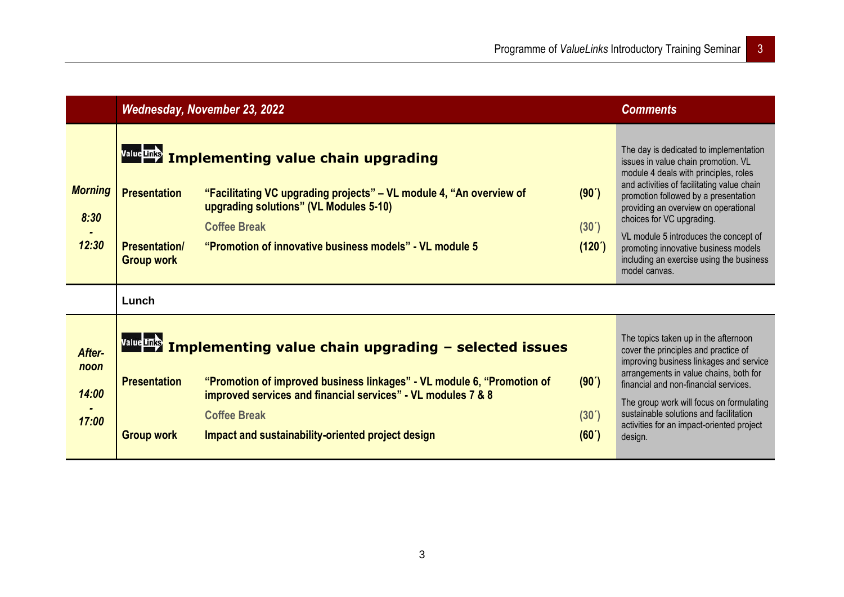|                                  | <b>Wednesday, November 23, 2022</b>                              |                                                                                                                                                                                                                                                                                        |                                      | <b>Comments</b>                                                                                                                                                                                                                                                                                                                                                                                                                 |
|----------------------------------|------------------------------------------------------------------|----------------------------------------------------------------------------------------------------------------------------------------------------------------------------------------------------------------------------------------------------------------------------------------|--------------------------------------|---------------------------------------------------------------------------------------------------------------------------------------------------------------------------------------------------------------------------------------------------------------------------------------------------------------------------------------------------------------------------------------------------------------------------------|
| <b>Morning</b><br>8:30<br>12:30  | <b>Presentation</b><br><b>Presentation/</b><br><b>Group work</b> | Value Links Implementing value chain upgrading<br>"Facilitating VC upgrading projects" – VL module 4, "An overview of<br>upgrading solutions" (VL Modules 5-10)<br><b>Coffee Break</b><br>"Promotion of innovative business models" - VL module 5                                      | (90')<br>$(30^{\prime})$<br>(120')   | The day is dedicated to implementation<br>issues in value chain promotion. VL<br>module 4 deals with principles, roles<br>and activities of facilitating value chain<br>promotion followed by a presentation<br>providing an overview on operational<br>choices for VC upgrading.<br>VL module 5 introduces the concept of<br>promoting innovative business models<br>including an exercise using the business<br>model canvas. |
|                                  | Lunch                                                            |                                                                                                                                                                                                                                                                                        |                                      |                                                                                                                                                                                                                                                                                                                                                                                                                                 |
| After-<br>noon<br>14:00<br>17:00 | <b>Presentation</b><br><b>Group work</b>                         | Value Links Implementing value chain upgrading - selected issues<br>"Promotion of improved business linkages" - VL module 6, "Promotion of<br>improved services and financial services" - VL modules 7 & 8<br><b>Coffee Break</b><br>Impact and sustainability-oriented project design | (90')<br>(30 <sup>7</sup> )<br>(60') | The topics taken up in the afternoon<br>cover the principles and practice of<br>improving business linkages and service<br>arrangements in value chains, both for<br>financial and non-financial services.<br>The group work will focus on formulating<br>sustainable solutions and facilitation<br>activities for an impact-oriented project<br>design.                                                                        |